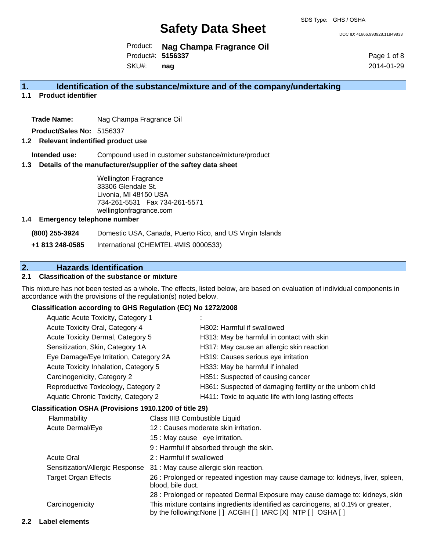DOC ID: 41666.993928.11849833

Product: **Nag Champa Fragrance Oil** Product#: **5156337**

SKU#: **nag** Page 1 of 8 2014-01-29

#### **1. Identification of the substance/mixture and of the company/undertaking**

**1.1 Product identifier**

**Trade Name:** Nag Champa Fragrance Oil

**Product/Sales No:** 5156337

#### **1.2 Relevant indentified product use**

**Intended use:** Compound used in customer substance/mixture/product

#### **1.3 Details of the manufacturer/supplier of the saftey data sheet**

Wellington Fragrance 33306 Glendale St. Livonia, MI 48150 USA 734-261-5531 Fax 734-261-5571 wellingtonfragrance.com

#### **1.4 Emergency telephone number**

**(800) 255-3924** Domestic USA, Canada, Puerto Rico, and US Virgin Islands

**+1 813 248-0585** International (CHEMTEL #MIS 0000533)

### **2. Hazards Identification**

#### **2.1 Classification of the substance or mixture**

This mixture has not been tested as a whole. The effects, listed below, are based on evaluation of individual components in accordance with the provisions of the regulation(s) noted below.

#### **Classification according to GHS Regulation (EC) No 1272/2008**

| Aquatic Acute Toxicity, Category 1     |                                                           |
|----------------------------------------|-----------------------------------------------------------|
| Acute Toxicity Oral, Category 4        | H302: Harmful if swallowed                                |
| Acute Toxicity Dermal, Category 5      | H313: May be harmful in contact with skin                 |
| Sensitization, Skin, Category 1A       | H317: May cause an allergic skin reaction                 |
| Eye Damage/Eye Irritation, Category 2A | H319: Causes serious eye irritation                       |
| Acute Toxicity Inhalation, Category 5  | H333: May be harmful if inhaled                           |
| Carcinogenicity, Category 2            | H351: Suspected of causing cancer                         |
| Reproductive Toxicology, Category 2    | H361: Suspected of damaging fertility or the unborn child |
| Aquatic Chronic Toxicity, Category 2   | H411: Toxic to aquatic life with long lasting effects     |
|                                        |                                                           |

#### **Classification OSHA (Provisions 1910.1200 of title 29)**

| <b>Flammability</b>             | Class IIIB Combustible Liquid                                                                                                                      |
|---------------------------------|----------------------------------------------------------------------------------------------------------------------------------------------------|
| Acute Dermal/Eye                | 12 : Causes moderate skin irritation.                                                                                                              |
|                                 | 15 : May cause eye irritation.                                                                                                                     |
|                                 | 9 : Harmful if absorbed through the skin.                                                                                                          |
| <b>Acute Oral</b>               | 2 : Harmful if swallowed                                                                                                                           |
| Sensitization/Allergic Response | 31 : May cause allergic skin reaction.                                                                                                             |
| <b>Target Organ Effects</b>     | 26 : Prolonged or repeated ingestion may cause damage to: kidneys, liver, spleen,<br>blood, bile duct.                                             |
|                                 | 28 : Prolonged or repeated Dermal Exposure may cause damage to: kidneys, skin                                                                      |
| Carcinogenicity                 | This mixture contains ingredients identified as carcinogens, at 0.1% or greater,<br>by the following: None [ ] ACGIH [ ] IARC [X] NTP [ ] OSHA [ ] |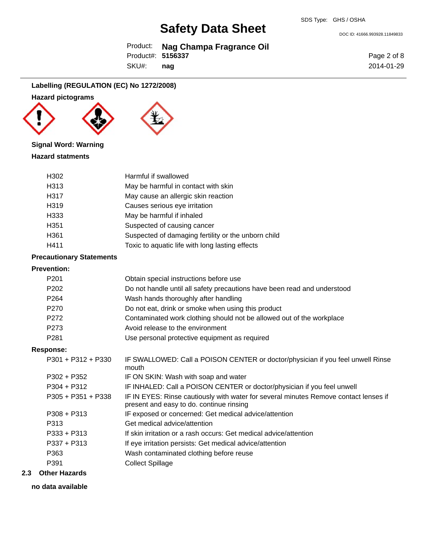Product: **Nag Champa Fragrance Oil** Product#: **5156337**

SKU#: **nag** Page 2 of 8 2014-01-29

DOC ID: 41666.993928.11849833

### **Labelling (REGULATION (EC) No 1272/2008)**

### **Hazard pictograms**







#### **Signal Word: Warning**

#### **Hazard statments**

| H302              | Harmful if swallowed                                |
|-------------------|-----------------------------------------------------|
| H <sub>3</sub> 13 | May be harmful in contact with skin                 |
| H317              | May cause an allergic skin reaction                 |
| H319              | Causes serious eye irritation                       |
| H333              | May be harmful if inhaled                           |
| H351              | Suspected of causing cancer                         |
| H <sub>361</sub>  | Suspected of damaging fertility or the unborn child |
| H411              | Toxic to aquatic life with long lasting effects     |

# **Precautionary Statements**

#### **Prevention:**

| P <sub>201</sub>     | Obtain special instructions before use                                                                                           |
|----------------------|----------------------------------------------------------------------------------------------------------------------------------|
| P <sub>202</sub>     | Do not handle until all safety precautions have been read and understood                                                         |
| P <sub>264</sub>     | Wash hands thoroughly after handling                                                                                             |
| P <sub>270</sub>     | Do not eat, drink or smoke when using this product                                                                               |
| P <sub>272</sub>     | Contaminated work clothing should not be allowed out of the workplace                                                            |
| P273                 | Avoid release to the environment                                                                                                 |
| P <sub>281</sub>     | Use personal protective equipment as required                                                                                    |
| Response:            |                                                                                                                                  |
| $P301 + P312 + P330$ | IF SWALLOWED: Call a POISON CENTER or doctor/physician if you feel unwell Rinse<br>mouth                                         |
| $P302 + P352$        | IF ON SKIN: Wash with soap and water                                                                                             |
| $P304 + P312$        | IF INHALED: Call a POISON CENTER or doctor/physician if you feel unwell                                                          |
| $P305 + P351 + P338$ | IF IN EYES: Rinse cautiously with water for several minutes Remove contact lenses if<br>present and easy to do. continue rinsing |
| $P308 + P313$        | IF exposed or concerned: Get medical advice/attention                                                                            |
| P313                 | Get medical advice/attention                                                                                                     |
| $P333 + P313$        | If skin irritation or a rash occurs: Get medical advice/attention                                                                |
| $P337 + P313$        | If eye irritation persists: Get medical advice/attention                                                                         |
| P363                 | Wash contaminated clothing before reuse                                                                                          |
| P391                 | <b>Collect Spillage</b>                                                                                                          |
|                      |                                                                                                                                  |

#### **2.3 Other Hazards**

#### **no data available**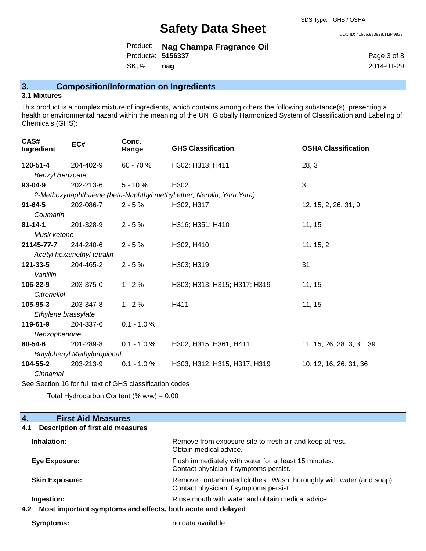DOC ID: 41666.993928.11849833

Product: **Nag Champa Fragrance Oil** SKU#: Product#: **5156337 nag**

Page 3 of 8 2014-01-29

## **3. Composition/Information on Ingredients**

### **3.1 Mixtures**

This product is a complex mixture of ingredients, which contains among others the following substance(s), presenting a health or environmental hazard within the meaning of the UN Globally Harmonized System of Classification and Labeling of Chemicals (GHS):

| CAS#<br>Ingredient                 | EC#                        | Conc.<br>Range | <b>GHS Classification</b>                                             | <b>OSHA Classification</b> |
|------------------------------------|----------------------------|----------------|-----------------------------------------------------------------------|----------------------------|
| 120-51-4                           | 204-402-9                  | 60 - 70 %      | H302; H313; H411                                                      | 28, 3                      |
| <b>Benzyl Benzoate</b>             |                            |                |                                                                       |                            |
| $93 - 04 - 9$                      | 202-213-6                  | $5 - 10%$      | H302                                                                  | 3                          |
|                                    |                            |                | 2-Methoxynaphthalene (beta-Naphthyl methyl ether, Nerolin, Yara Yara) |                            |
| $91 - 64 - 5$                      | 202-086-7                  | $2 - 5%$       | H302; H317                                                            | 12, 15, 2, 26, 31, 9       |
| Coumarin                           |                            |                |                                                                       |                            |
| $81 - 14 - 1$                      | 201-328-9                  | $2 - 5%$       | H316; H351; H410                                                      | 11, 15                     |
| Musk ketone                        |                            |                |                                                                       |                            |
| 21145-77-7                         | 244-240-6                  | $2 - 5%$       | H302; H410                                                            | 11, 15, 2                  |
|                                    | Acetyl hexamethyl tetralin |                |                                                                       |                            |
| 121-33-5                           | 204-465-2                  | $2 - 5%$       | H303; H319                                                            | 31                         |
| Vanillin                           |                            |                |                                                                       |                            |
| 106-22-9                           | 203-375-0                  | $1 - 2%$       | H303; H313; H315; H317; H319                                          | 11, 15                     |
| Citronellol                        |                            |                |                                                                       |                            |
| $105 - 95 - 3$                     | 203-347-8                  | $1 - 2%$       | H411                                                                  | 11, 15                     |
| Ethylene brassylate                |                            |                |                                                                       |                            |
| 119-61-9                           | 204-337-6                  | $0.1 - 1.0 %$  |                                                                       |                            |
| Benzophenone                       |                            |                |                                                                       |                            |
| 80-54-6                            | 201-289-8                  | $0.1 - 1.0 %$  | H302; H315; H361; H411                                                | 11, 15, 26, 28, 3, 31, 39  |
| <b>Butylphenyl Methylpropional</b> |                            |                |                                                                       |                            |
| 104-55-2                           | 203-213-9                  | $0.1 - 1.0 %$  | H303; H312; H315; H317; H319                                          | 10, 12, 16, 26, 31, 36     |
| Cinnamal                           |                            |                |                                                                       |                            |

See Section 16 for full text of GHS classification codes

Total Hydrocarbon Content  $% w = 0.00$ 

| <b>First Aid Measures</b><br>4.                                    |                                                                                                               |
|--------------------------------------------------------------------|---------------------------------------------------------------------------------------------------------------|
| Description of first aid measures<br>4.1                           |                                                                                                               |
| Inhalation:                                                        | Remove from exposure site to fresh air and keep at rest.<br>Obtain medical advice.                            |
| Eye Exposure:                                                      | Flush immediately with water for at least 15 minutes.<br>Contact physician if symptoms persist.               |
| <b>Skin Exposure:</b>                                              | Remove contaminated clothes. Wash thoroughly with water (and soap).<br>Contact physician if symptoms persist. |
| Ingestion:                                                         | Rinse mouth with water and obtain medical advice.                                                             |
| Most important symptoms and effects, both acute and delayed<br>4.2 |                                                                                                               |

**Symptoms:** no data available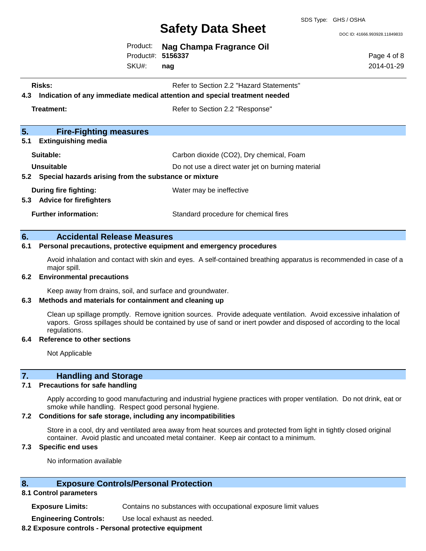SDS Type: GHS / OSHA

DOC ID: 41666.993928.11849833

Page 4 of 8 2014-01-29

Product: **Nag Champa Fragrance Oil** Product#: **5156337**

SKU#: **nag**

- **Risks:** Risks: Refer to Section 2.2 "Hazard Statements"
- **4.3 Indication of any immediate medical attention and special treatment needed**

**Treatment:** Refer to Section 2.2 "Response"

| 5.<br><b>Fire-Fighting measures</b>                            |                                                   |
|----------------------------------------------------------------|---------------------------------------------------|
| <b>Extinguishing media</b><br>5.1                              |                                                   |
| Suitable:                                                      | Carbon dioxide (CO2), Dry chemical, Foam          |
| <b>Unsuitable</b>                                              | Do not use a direct water jet on burning material |
| 5.2 Special hazards arising from the substance or mixture      |                                                   |
| During fire fighting:<br><b>Advice for firefighters</b><br>5.3 | Water may be ineffective                          |
| <b>Further information:</b>                                    | Standard procedure for chemical fires             |

#### **6. Accidental Release Measures**

#### **6.1 Personal precautions, protective equipment and emergency procedures**

Avoid inhalation and contact with skin and eyes. A self-contained breathing apparatus is recommended in case of a major spill.

#### **6.2 Environmental precautions**

Keep away from drains, soil, and surface and groundwater.

#### **6.3 Methods and materials for containment and cleaning up**

Clean up spillage promptly. Remove ignition sources. Provide adequate ventilation. Avoid excessive inhalation of vapors. Gross spillages should be contained by use of sand or inert powder and disposed of according to the local regulations.

#### **6.4 Reference to other sections**

Not Applicable

### **7. Handling and Storage**

#### **7.1 Precautions for safe handling**

Apply according to good manufacturing and industrial hygiene practices with proper ventilation. Do not drink, eat or smoke while handling. Respect good personal hygiene.

#### **7.2 Conditions for safe storage, including any incompatibilities**

Store in a cool, dry and ventilated area away from heat sources and protected from light in tightly closed original container. Avoid plastic and uncoated metal container. Keep air contact to a minimum.

#### **7.3 Specific end uses**

No information available

#### **8. Exposure Controls/Personal Protection**

#### **8.1 Control parameters**

**Exposure Limits:** Contains no substances with occupational exposure limit values

**Engineering Controls:** Use local exhaust as needed.

#### **8.2 Exposure controls - Personal protective equipment**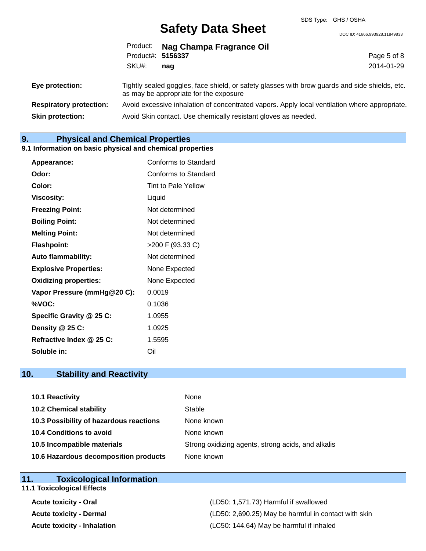DOC ID: 41666.993928.11849833

|                                | Product#: 5156337<br>SKU#:                                                                                                               | Product: Nag Champa Fragrance Oil |             |  |
|--------------------------------|------------------------------------------------------------------------------------------------------------------------------------------|-----------------------------------|-------------|--|
|                                |                                                                                                                                          |                                   | Page 5 of 8 |  |
|                                |                                                                                                                                          | naq                               | 2014-01-29  |  |
| Eye protection:                | Tightly sealed goggles, face shield, or safety glasses with brow guards and side shields, etc.<br>as may be appropriate for the exposure |                                   |             |  |
| <b>Respiratory protection:</b> | Avoid excessive inhalation of concentrated vapors. Apply local ventilation where appropriate.                                            |                                   |             |  |
| <b>Skin protection:</b>        | Avoid Skin contact. Use chemically resistant gloves as needed.                                                                           |                                   |             |  |

**9. Physical and Chemical Properties**

#### **9.1 Information on basic physical and chemical properties**

| Appearance:                  | Conforms to Standard        |
|------------------------------|-----------------------------|
| Odor:                        | <b>Conforms to Standard</b> |
| Color:                       | Tint to Pale Yellow         |
| <b>Viscosity:</b>            | Liquid                      |
| <b>Freezing Point:</b>       | Not determined              |
| <b>Boiling Point:</b>        | Not determined              |
| <b>Melting Point:</b>        | Not determined              |
| <b>Flashpoint:</b>           | >200 F (93.33 C)            |
| <b>Auto flammability:</b>    | Not determined              |
| <b>Explosive Properties:</b> | None Expected               |
| <b>Oxidizing properties:</b> | None Expected               |
| Vapor Pressure (mmHg@20 C):  | 0.0019                      |
| %VOC:                        | 0.1036                      |
| Specific Gravity @ 25 C:     | 1.0955                      |
| Density $@25C$ :             | 1.0925                      |
| Refractive Index @ 25 C:     | 1.5595                      |
| Soluble in:                  | Oil                         |

### **10. Stability and Reactivity**

| 10.1 Reactivity                         | None                                               |
|-----------------------------------------|----------------------------------------------------|
| <b>10.2 Chemical stability</b>          | Stable                                             |
| 10.3 Possibility of hazardous reactions | None known                                         |
| 10.4 Conditions to avoid                | None known                                         |
| 10.5 Incompatible materials             | Strong oxidizing agents, strong acids, and alkalis |
| 10.6 Hazardous decomposition products   | None known                                         |

### **11. Toxicological Information**

# **11.1 Toxicological Effects**

**Acute toxicity - Oral** (LD50: 1,571.73) Harmful if swallowed **Acute toxicity - Dermal Acute toxicity - Dermal COMEX 100 CLUME 100 (LD50: 2,690.25)** May be harmful in contact with skin **Acute toxicity - Inhalation** (LC50: 144.64) May be harmful if inhaled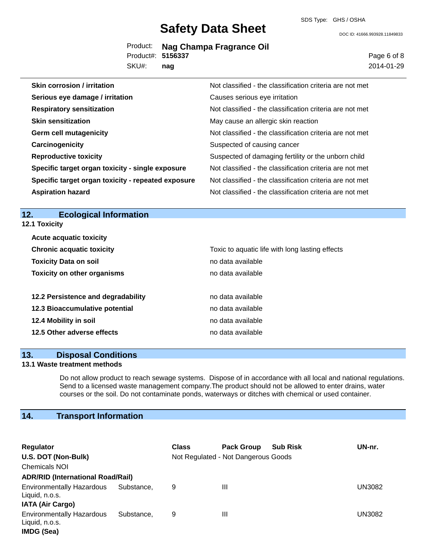DOC ID: 41666.993928.11849833

|                   | Product: Nag Champa Fragrance Oil |
|-------------------|-----------------------------------|
| Product#: 5156337 |                                   |
| 21111             |                                   |

SKU#: **nag** Page 6 of 8 2014-01-29

| <b>Skin corrosion / irritation</b>                 | Not classified - the classification criteria are not met |
|----------------------------------------------------|----------------------------------------------------------|
| Serious eye damage / irritation                    | Causes serious eye irritation                            |
| <b>Respiratory sensitization</b>                   | Not classified - the classification criteria are not met |
| <b>Skin sensitization</b>                          | May cause an allergic skin reaction                      |
| <b>Germ cell mutagenicity</b>                      | Not classified - the classification criteria are not met |
| Carcinogenicity                                    | Suspected of causing cancer                              |
| <b>Reproductive toxicity</b>                       | Suspected of damaging fertility or the unborn child      |
| Specific target organ toxicity - single exposure   | Not classified - the classification criteria are not met |
| Specific target organ toxicity - repeated exposure | Not classified - the classification criteria are not met |
| <b>Aspiration hazard</b>                           | Not classified - the classification criteria are not met |

### **12. Ecological Information**

**12.1 Toxicity**

| <b>Acute acquatic toxicity</b>     |                                                 |
|------------------------------------|-------------------------------------------------|
| <b>Chronic acquatic toxicity</b>   | Toxic to aquatic life with long lasting effects |
| <b>Toxicity Data on soil</b>       | no data available                               |
| <b>Toxicity on other organisms</b> | no data available                               |
|                                    |                                                 |
| 12.2 Persistence and degradability | no data available                               |
| 12.3 Bioaccumulative potential     | no data available                               |
| 12.4 Mobility in soil              | no data available                               |
| 12.5 Other adverse effects         | no data available                               |

#### **13. Disposal Conditions**

#### **13.1 Waste treatment methods**

Do not allow product to reach sewage systems. Dispose of in accordance with all local and national regulations. Send to a licensed waste management company.The product should not be allowed to enter drains, water courses or the soil. Do not contaminate ponds, waterways or ditches with chemical or used container.

# **14. Transport Information**

| <b>Regulator</b>                                                              |            | <b>Class</b> | <b>Pack Group</b>                   | <b>Sub Risk</b> | UN-nr. |  |
|-------------------------------------------------------------------------------|------------|--------------|-------------------------------------|-----------------|--------|--|
| U.S. DOT (Non-Bulk)                                                           |            |              | Not Regulated - Not Dangerous Goods |                 |        |  |
| <b>Chemicals NOI</b>                                                          |            |              |                                     |                 |        |  |
| <b>ADR/RID (International Road/Rail)</b>                                      |            |              |                                     |                 |        |  |
| <b>Environmentally Hazardous</b><br>Liquid, n.o.s.<br><b>IATA (Air Cargo)</b> | Substance. | 9            | Ш                                   |                 | UN3082 |  |
| <b>Environmentally Hazardous</b><br>Liquid, n.o.s.<br><b>IMDG (Sea)</b>       | Substance. | 9            | Ш                                   |                 | UN3082 |  |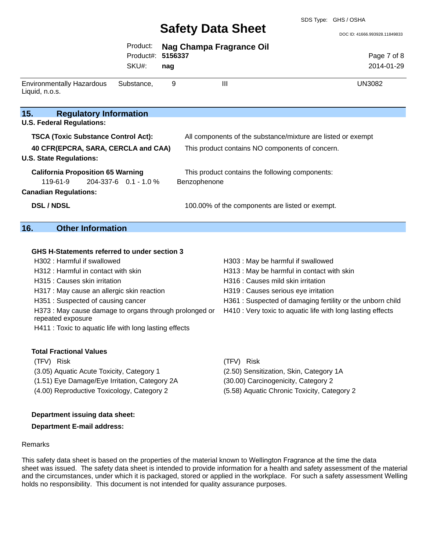DOC ID: 41666.993928.11849833

|                                                                                                                  | Product:<br>Product#:       | <b>Nag Champa Fragrance Oil</b><br>5156337 |                                                              | Page 7 of 8                                                |
|------------------------------------------------------------------------------------------------------------------|-----------------------------|--------------------------------------------|--------------------------------------------------------------|------------------------------------------------------------|
|                                                                                                                  | SKU#:                       | nag                                        |                                                              | 2014-01-29                                                 |
| <b>Environmentally Hazardous</b><br>Liquid, n.o.s.                                                               | Substance,                  | 9                                          | $\mathbf{III}$                                               | <b>UN3082</b>                                              |
| 15.<br><b>Regulatory Information</b>                                                                             |                             |                                            |                                                              |                                                            |
| <b>U.S. Federal Regulations:</b>                                                                                 |                             |                                            |                                                              |                                                            |
| <b>TSCA (Toxic Substance Control Act):</b>                                                                       |                             |                                            | All components of the substance/mixture are listed or exempt |                                                            |
| 40 CFR(EPCRA, SARA, CERCLA and CAA)<br><b>U.S. State Regulations:</b>                                            |                             |                                            | This product contains NO components of concern.              |                                                            |
| <b>California Proposition 65 Warning</b><br>119-61-9<br><b>Canadian Regulations:</b>                             | $204 - 337 - 6$ 0.1 - 1.0 % | Benzophenone                               | This product contains the following components:              |                                                            |
| <b>DSL/NDSL</b>                                                                                                  |                             |                                            | 100.00% of the components are listed or exempt.              |                                                            |
| <b>Other Information</b><br>16.                                                                                  |                             |                                            |                                                              |                                                            |
|                                                                                                                  |                             |                                            |                                                              |                                                            |
| GHS H-Statements referred to under section 3                                                                     |                             |                                            |                                                              |                                                            |
| H302 : Harmful if swallowed                                                                                      |                             |                                            | H303 : May be harmful if swallowed                           |                                                            |
| H312 : Harmful in contact with skin                                                                              |                             |                                            | H313 : May be harmful in contact with skin                   |                                                            |
| H315 : Causes skin irritation                                                                                    |                             |                                            | H316 : Causes mild skin irritation                           |                                                            |
| H317 : May cause an allergic skin reaction                                                                       |                             |                                            | H319 : Causes serious eye irritation                         |                                                            |
| H351: Suspected of causing cancer<br>H373 : May cause damage to organs through prolonged or<br>repeated exposure |                             |                                            | H410 : Very toxic to aquatic life with long lasting effects  | H361 : Suspected of damaging fertility or the unborn child |
| H411 : Toxic to aquatic life with long lasting effects                                                           |                             |                                            |                                                              |                                                            |
| <b>Total Fractional Values</b>                                                                                   |                             |                                            |                                                              |                                                            |
| (TFV) Risk                                                                                                       |                             |                                            | (TFV) Risk                                                   |                                                            |
| (3.05) Aquatic Acute Toxicity, Category 1                                                                        |                             |                                            | (2.50) Sensitization, Skin, Category 1A                      |                                                            |
| (1.51) Eye Damage/Eye Irritation, Category 2A                                                                    |                             |                                            | (30.00) Carcinogenicity, Category 2                          |                                                            |
| (4.00) Reproductive Toxicology, Category 2                                                                       |                             |                                            | (5.58) Aquatic Chronic Toxicity, Category 2                  |                                                            |

#### **Department issuing data sheet:**

#### **Department E-mail address:**

#### Remarks

This safety data sheet is based on the properties of the material known to Wellington Fragrance at the time the data sheet was issued. The safety data sheet is intended to provide information for a health and safety assessment of the material and the circumstances, under which it is packaged, stored or applied in the workplace. For such a safety assessment Welling holds no responsibility. This document is not intended for quality assurance purposes.